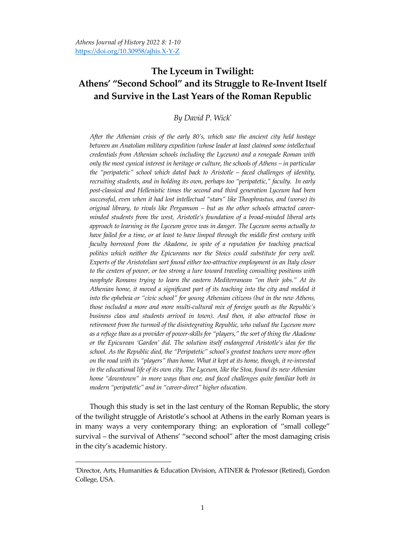# **The Lyceum in Twilight: Athens' "Second School" and its Struggle to Re-Invent Itself and Survive in the Last Years of the Roman Republic**

## *By David P. Wick\**

*After the Athenian crisis of the early 80's, which saw the ancient city held hostage between an Anatolian military expedition (whose leader at least claimed some intellectual credentials from Athenian schools including the Lyceum) and a renegade Roman with only the most cynical interest in heritage or culture, the schools of Athens – in particular the 'peripatetic' school which dated back to Aristotle – faced challenges of identity, recruiting students, and in holding its own, perhaps too 'peripatetic,' faculty. In early post-classical and Hellenistic times the second and third generation Lyceum had been successful, even when it had lost intellectual 'stars' like Theophrastus, and (worse) its original library, to rivals like Pergamum – but as the other schools attracted careerminded students from the west, Aristotle's foundation of a broad-minded liberal arts approach to learning in the Lyceum grove was in danger. The Lyceum seems actually to*  have failed for a time, or at least to have limped through the middle first century with faculty borrowed from the Akademe, in spite of a reputation for teaching practical politics which neither the Epicureans nor the Stoics could substitute for very well. *Experts of the Aristotelian sort found either too-attractive employment in an Italy closer to the centers of power, or too strong a lure toward traveling consulting positions with neophyte Romans trying to learn the eastern Mediterranean 'on their jobs.' At its Athenian home, it moved a significant part of its teaching into the city and melded it into the ephebeia or 'civic school' for young Athenian citizens (but in the new Athens, those included a more and more multi-cultural mix of foreign youth as the Republic's business class and students arrived in town). And then, it also attracted those in retirement from the turmoil of the disintegrating Republic, who valued the Lyceum more as a refuge than as a provider of power-skills for 'players,' the sort of thing the Akademe or the Epicurean 'Garden' did. The solution itself endangered Aristotle's idea for the school. As the Republic died, the 'Peripatetic' school's greatest teachers were more often on the road with its 'players' than home. What it kept at its home, though, it re-invested in the educational life of its own city. The Lyceum, like the Stoa, found its new Athenian home 'downtown' in more ways than one, and faced challenges quite familiar both in modern 'peripatetic' and in 'career-direct' higher education.*

Though this study is set in the last century of the Roman Republic, the story of the twilight struggle of Aristotle's school at Athens in the early Roman years is in many ways a very contemporary thing: an exploration of 'small college' survival – the survival of Athens' "second school" after the most damaging crisis in the city's academic history.

<sup>\*</sup>Director, Arts, Humanities & Education Division, ATINER & Professor (Retired), Gordon College, USA.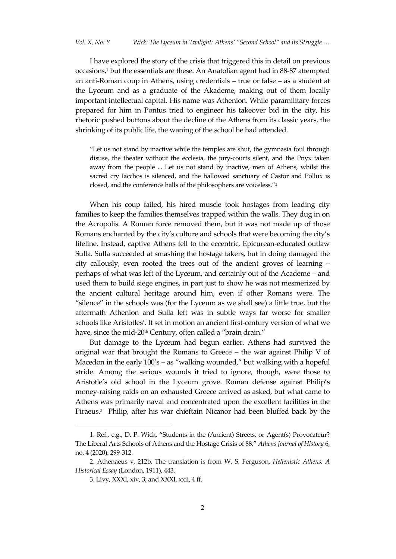I have explored the story of the crisis that triggered this in detail on previous occasions, <sup>1</sup> but the essentials are these. An Anatolian agent had in 88-87 attempted an anti-Roman coup in Athens, using credentials – true or false – as a student at the Lyceum and as a graduate of the Akademe, making out of them locally important intellectual capital. His name was Athenion. While paramilitary forces prepared for him in Pontus tried to engineer his takeover bid in the city, his rhetoric pushed buttons about the decline of the Athens from its classic years, the shrinking of its public life, the waning of the school he had attended.

'Let us not stand by inactive while the temples are shut, the gymnasia foul through disuse, the theater without the ecclesia, the jury-courts silent, and the Pnyx taken away from the people ... Let us not stand by inactive, men of Athens, whilst the sacred cry Iacchos is silenced, and the hallowed sanctuary of Castor and Pollux is closed, and the conference halls of the philosophers are voiceless."<sup>2</sup>

When his coup failed, his hired muscle took hostages from leading city families to keep the families themselves trapped within the walls. They dug in on the Acropolis. A Roman force removed them, but it was not made up of those Romans enchanted by the city's culture and schools that were becoming the city's lifeline. Instead, captive Athens fell to the eccentric, Epicurean-educated outlaw Sulla. Sulla succeeded at smashing the hostage takers, but in doing damaged the city callously, even rooted the trees out of the ancient groves of learning – perhaps of what was left of the Lyceum, and certainly out of the Academe – and used them to build siege engines, in part just to show he was not mesmerized by the ancient cultural heritage around him, even if other Romans were. The 'silence' in the schools was (for the Lyceum as we shall see) a little true, but the aftermath Athenion and Sulla left was in subtle ways far worse for smaller schools like Aristotles'. It set in motion an ancient first-century version of what we have, since the mid-20<sup>th</sup> Century, often called a "brain drain."

But damage to the Lyceum had begun earlier. Athens had survived the original war that brought the Romans to Greece – the war against Philip V of Macedon in the early 100's - as "walking wounded," but walking with a hopeful stride. Among the serious wounds it tried to ignore, though, were those to Aristotle's old school in the Lyceum grove. Roman defense against Philip's money-raising raids on an exhausted Greece arrived as asked, but what came to Athens was primarily naval and concentrated upon the excellent facilities in the Piraeus.<sup>3</sup> Philip, after his war chieftain Nicanor had been bluffed back by the

<sup>1.</sup> Ref., e.g., D. P. Wick, 'Students in the (Ancient) Streets, or Agent(s) Provocateur? The Liberal Arts Schools of Athens and the Hostage Crisis of 88,' *Athens Journal of History* 6, no. 4 (2020): 299-312*.*

<sup>2.</sup> Athenaeus v, 212b. The translation is from W. S. Ferguson, *Hellenistic Athens: A Historical Essay* (London, 1911), 443.

<sup>3.</sup> Livy, XXXI, xiv, 3; and XXXI, xxii, 4 ff.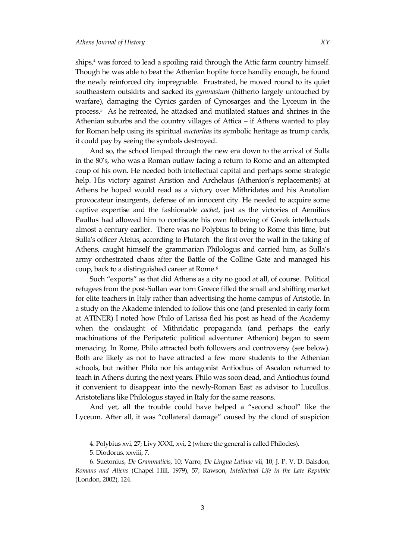ships,<sup>4</sup> was forced to lead a spoiling raid through the Attic farm country himself. Though he was able to beat the Athenian hoplite force handily enough, he found the newly reinforced city impregnable. Frustrated, he moved round to its quiet southeastern outskirts and sacked its *gymnasium* (hitherto largely untouched by warfare), damaging the Cynics garden of Cynosarges and the Lyceum in the process.<sup>5</sup> As he retreated, he attacked and mutilated statues and shrines in the Athenian suburbs and the country villages of Attica – if Athens wanted to play for Roman help using its spiritual *auctoritas* its symbolic heritage as trump cards, it could pay by seeing the symbols destroyed.

And so, the school limped through the new era down to the arrival of Sulla in the 80's, who was a Roman outlaw facing a return to Rome and an attempted coup of his own. He needed both intellectual capital and perhaps some strategic help. His victory against Aristion and Archelaus (Athenion's replacements) at Athens he hoped would read as a victory over Mithridates and his Anatolian provocateur insurgents, defense of an innocent city. He needed to acquire some captive expertise and the fashionable *cachet*, just as the victories of Aemilius Paullus had allowed him to confiscate his own following of Greek intellectuals almost a century earlier. There was no Polybius to bring to Rome this time, but Sulla's officer Ateius, according to Plutarch the first over the wall in the taking of Athens, caught himself the grammarian Philologus and carried him, as Sulla's army orchestrated chaos after the Battle of the Colline Gate and managed his coup, back to a distinguished career at Rome.<sup>6</sup>

Such 'exports' as that did Athens as a city no good at all, of course. Political refugees from the post-Sullan war torn Greece filled the small and shifting market for elite teachers in Italy rather than advertising the home campus of Aristotle. In a study on the Akademe intended to follow this one (and presented in early form at ATINER) I noted how Philo of Larissa fled his post as head of the Academy when the onslaught of Mithridatic propaganda (and perhaps the early machinations of the Peripatetic political adventurer Athenion) began to seem menacing. In Rome, Philo attracted both followers and controversy (see below). Both are likely as not to have attracted a few more students to the Athenian schools, but neither Philo nor his antagonist Antiochus of Ascalon returned to teach in Athens during the next years. Philo was soon dead, and Antiochus found it convenient to disappear into the newly-Roman East as advisor to Lucullus. Aristotelians like Philologus stayed in Italy for the same reasons.

And yet, all the trouble could have helped a "second school" like the Lyceum. After all, it was 'collateral damage' caused by the cloud of suspicion

<sup>4.</sup> Polybius xvi, 27; Livy XXXI, xvi, 2 (where the general is called Philocles).

<sup>5.</sup> Diodorus, xxviii, 7.

<sup>6.</sup> Suetonius, *De Grammaticis*, 10; Varro, *De Lingua Latinae* vii, 10; J. P. V. D. Balsdon, *Romans and Aliens* (Chapel Hill, 1979), 57; Rawson, *Intellectual Life in the Late Republic* (London, 2002), 124.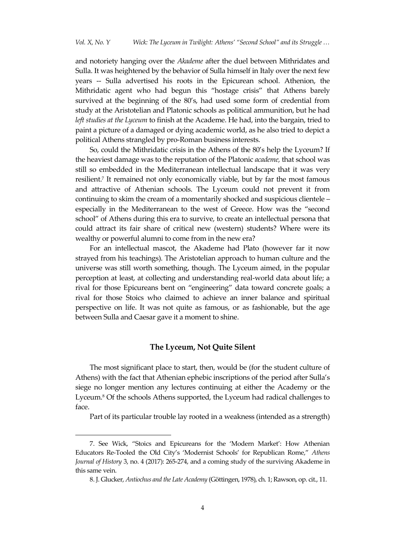and notoriety hanging over the *Akademe* after the duel between Mithridates and Sulla. It was heightened by the behavior of Sulla himself in Italy over the next few years -- Sulla advertised his roots in the Epicurean school. Athenion, the Mithridatic agent who had begun this 'hostage crisis' that Athens barely survived at the beginning of the 80's, had used some form of credential from study at the Aristotelian and Platonic schools as political ammunition, but he had *left studies at the Lyceum* to finish at the Academe. He had, into the bargain, tried to paint a picture of a damaged or dying academic world, as he also tried to depict a political Athens strangled by pro-Roman business interests.

So, could the Mithridatic crisis in the Athens of the 80's help the Lyceum? If the heaviest damage was to the reputation of the Platonic *academe,* that school was still so embedded in the Mediterranean intellectual landscape that it was very resilient. 7 It remained not only economically viable, but by far the most famous and attractive of Athenian schools. The Lyceum could not prevent it from continuing to skim the cream of a momentarily shocked and suspicious clientele – especially in the Mediterranean to the west of Greece. How was the 'second school" of Athens during this era to survive, to create an intellectual persona that could attract its fair share of critical new (western) students? Where were its wealthy or powerful alumni to come from in the new era?

For an intellectual mascot, the Akademe had Plato (however far it now strayed from his teachings). The Aristotelian approach to human culture and the universe was still worth something, though. The Lyceum aimed, in the popular perception at least, at collecting and understanding real-world data about life; a rival for those Epicureans bent on 'engineering' data toward concrete goals; a rival for those Stoics who claimed to achieve an inner balance and spiritual perspective on life. It was not quite as famous, or as fashionable, but the age between Sulla and Caesar gave it a moment to shine.

### **The Lyceum, Not Quite Silent**

The most significant place to start, then, would be (for the student culture of Athens) with the fact that Athenian ephebic inscriptions of the period after Sulla's siege no longer mention any lectures continuing at either the Academy or the Lyceum. <sup>8</sup> Of the schools Athens supported, the Lyceum had radical challenges to face.

Part of its particular trouble lay rooted in a weakness (intended as a strength)

<sup>7.</sup> See Wick, 'Stoics and Epicureans for the 'Modern Market': How Athenian Educators Re-Tooled the Old City's 'Modernist Schools' for Republican Rome,' *Athens Journal of History* 3, no. 4 (2017): 265-274, and a coming study of the surviving Akademe in this same vein.

<sup>8.</sup> J. Glucker, *Antiochus and the Late Academy* (Göttingen, 1978), ch. 1; Rawson, op. cit., 11.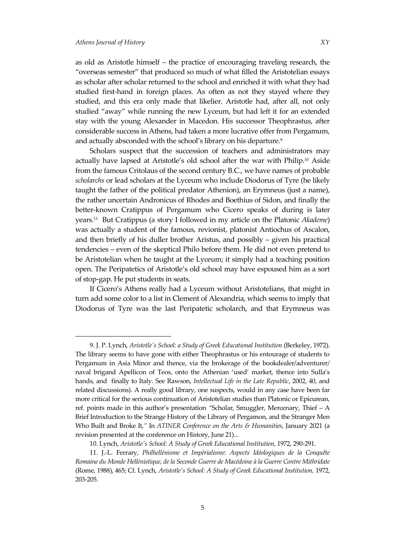$\overline{a}$ 

as old as Aristotle himself – the practice of encouraging traveling research, the 'overseas semester' that produced so much of what filled the Aristotelian essays as scholar after scholar returned to the school and enriched it with what they had

studied first-hand in foreign places. As often as not they stayed where they studied, and this era only made that likelier. Aristotle had, after all, not only studied 'away' while running the new Lyceum, but had left it for an extended stay with the young Alexander in Macedon. His successor Theophrastus, after considerable success in Athens, had taken a more lucrative offer from Pergamum, and actually absconded with the school's library on his departure. $^9$ 

Scholars suspect that the succession of teachers and administrators may actually have lapsed at Aristotle's old school after the war with Philip. <sup>10</sup> Aside from the famous Critolaus of the second century B.C., we have names of probable *scholarchs* or lead scholars at the Lyceum who include Diodorus of Tyre (he likely taught the father of the political predator Athenion), an Erymneus (just a name), the rather uncertain Andronicus of Rhodes and Boethius of Sidon, and finally the better-known Cratippus of Pergamum who Cicero speaks of during is later years.<sup>11</sup> But Cratippus (a story I followed in my article on the Platonic *Akademe*) was actually a student of the famous, revionist, platonist Antiochus of Ascalon, and then briefly of his duller brother Aristus, and possibly – given his practical tendencies – even of the skeptical Philo before them. He did not even pretend to be Aristotelian when he taught at the Lyceum; it simply had a teaching position open. The Peripatetics of Aristotle's old school may have espoused him as a sort of stop-gap. He put students in seats.

If Cicero's Athens really had a Lyceum without Aristotelians, that might in turn add some color to a list in Clement of Alexandria, which seems to imply that Diodorus of Tyre was the last Peripatetic scholarch, and that Erymneus was

<sup>9.</sup> J. P. Lynch, *Aristotle's School: a Study of Greek Educational Institution* (Berkeley, 1972). The library seems to have gone with either Theophrastus or his entourage of students to Pergamum in Asia Minor and thence, via the brokerage of the bookdealer/adventurer/ naval brigand Apellicon of Teos, onto the Athenian 'used' market, thence into Sulla's hands, and finally to Italy. See Rawson, *Intellectual Life in the Late Republic*, 2002, 40, and related discussions). A really good library, one suspects, would in any case have been far more critical for the serious continuation of Aristotelian studies than Platonic or Epicurean, ref. points made in this author's presentation *'*Scholar, Smuggler, Mercenary, Thief – A Brief Introduction to the Strange History of the Library of Pergamon, and the Stranger Men Who Built and Broke It,*'* In *ATINER Conference on the Arts & Humanities*, January 2021 (a revision presented at the conference on History, June 21)...

<sup>10.</sup> Lynch, *Aristotle's School: A Study of Greek Educational Institution,* 1972, 290-291.

<sup>11.</sup> J.-L. Ferrary, *Philhellénisme et Impérialisme: Aspects Idéologiques de la Conquête Romaine du Monde Hellénistique, de la Seconde Guerre de Macédoine à la Guerre Contre Mithridate* (Rome, 1988), 465; Cf. Lynch, *Aristotle's School: A Study of Greek Educational Institution,* 1972, 203-205.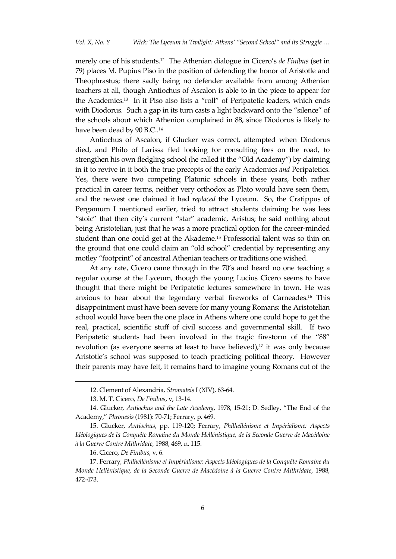merely one of his students.<sup>12</sup> The Athenian dialogue in Cicero's *de Finibus* (set in 79) places M. Pupius Piso in the position of defending the honor of Aristotle and Theophrastus; there sadly being no defender available from among Athenian teachers at all, though Antiochus of Ascalon is able to in the piece to appear for the Academics.<sup>13</sup> In it Piso also lists a 'roll' of Peripatetic leaders, which ends with Diodorus. Such a gap in its turn casts a light backward onto the "silence" of the schools about which Athenion complained in 88, since Diodorus is likely to have been dead by 90 B.C..<sup>14</sup>

Antiochus of Ascalon, if Glucker was correct, attempted when Diodorus died, and Philo of Larissa fled looking for consulting fees on the road, to strengthen his own fledgling school (he called it the 'Old Academy') by claiming in it to revive in it both the true precepts of the early Academics *and* Peripatetics. Yes, there were two competing Platonic schools in these years, both rather practical in career terms, neither very orthodox as Plato would have seen them, and the newest one claimed it had *replaced* the Lyceum. So, the Cratippus of Pergamum I mentioned earlier, tried to attract students claiming he was less 'stoic' that then city's current 'star' academic, Aristus; he said nothing about being Aristotelian, just that he was a more practical option for the career-minded student than one could get at the Akademe. <sup>15</sup> Professorial talent was so thin on the ground that one could claim an 'old school' credential by representing any motley 'footprint' of ancestral Athenian teachers or traditions one wished.

At any rate, Cicero came through in the 70's and heard no one teaching a regular course at the Lyceum, though the young Lucius Cicero seems to have thought that there might be Peripatetic lectures somewhere in town. He was anxious to hear about the legendary verbal fireworks of Carneades.<sup>16</sup> This disappointment must have been severe for many young Romans: the Aristotelian school would have been the one place in Athens where one could hope to get the real, practical, scientific stuff of civil success and governmental skill. If two Peripatetic students had been involved in the tragic firestorm of the "88" revolution (as everyone seems at least to have believed),<sup>17</sup> it was only because Aristotle's school was supposed to teach practicing political theory. However their parents may have felt, it remains hard to imagine young Romans cut of the

<sup>12.</sup> Clement of Alexandria, *Stromateis* I (XIV), 63-64.

<sup>13.</sup> M. T. Cicero, *De Finibus*, v, 13-14.

<sup>14.</sup> Glucker, *Antiochus and the Late Academy*, 1978, 15-21; D. Sedley, 'The End of the Academy,' *Phronesis* (1981): 70-71; Ferrary, p. 469.

<sup>15.</sup> Glucker, *Antiochus*, pp. 119-120; Ferrary, *Philhellénisme et Impérialisme: Aspects Idéologiques de la Conquête Romaine du Monde Hellénistique, de la Seconde Guerre de Macédoine à la Guerre Contre Mithridate*, 1988, 469, n. 115.

<sup>16.</sup> Cicero, *De Finibus*, v, 6.

<sup>17.</sup> Ferrary, *Philhellénisme et Impérialisme: Aspects Idéologiques de la Conquête Romaine du Monde Hellénistique, de la Seconde Guerre de Macédoine à la Guerre Contre Mithridate*, 1988, 472-473.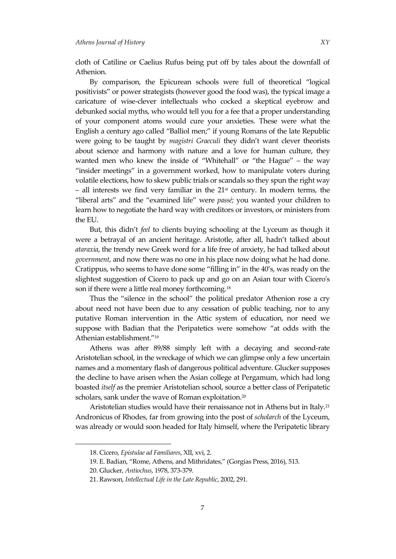cloth of Catiline or Caelius Rufus being put off by tales about the downfall of Athenion.

By comparison, the Epicurean schools were full of theoretical 'logical positivists' or power strategists (however good the food was), the typical image a caricature of wise-clever intellectuals who cocked a skeptical eyebrow and debunked social myths, who would tell you for a fee that a proper understanding of your component atoms would cure your anxieties. These were what the English a century ago called 'Balliol men;' if young Romans of the late Republic were going to be taught by *magistri Graeculi* they didn't want clever theorists about science and harmony with nature and a love for human culture, they wanted men who knew the inside of "Whitehall" or "the Hague" – the way 'insider meetings' in a government worked, how to manipulate voters during volatile elections, how to skew public trials or scandals so they spun the right way  $-$  all interests we find very familiar in the  $21<sup>st</sup>$  century. In modern terms, the 'liberal arts' and the 'examined life' were *passé;* you wanted your children to learn how to negotiate the hard way with creditors or investors, or ministers from the EU.

But, this didn't *feel* to clients buying schooling at the Lyceum as though it were a betrayal of an ancient heritage. Aristotle, after all, hadn't talked about *ataraxia*, the trendy new Greek word for a life free of anxiety, he had talked about *government*, and now there was no one in his place now doing what he had done. Cratippus, who seems to have done some 'filling in' in the 40's, was ready on the slightest suggestion of Cicero to pack up and go on an Asian tour with Cicero's son if there were a little real money forthcoming.<sup>18</sup>

Thus the "silence in the school" the political predator Athenion rose a cry about need not have been due to any cessation of public teaching, nor to any putative Roman intervention in the Attic system of education, nor need we suppose with Badian that the Peripatetics were somehow 'at odds with the Athenian establishment.'<sup>19</sup>

Athens was after 89/88 simply left with a decaying and second-rate Aristotelian school, in the wreckage of which we can glimpse only a few uncertain names and a momentary flash of dangerous political adventure. Glucker supposes the decline to have arisen when the Asian college at Pergamum, which had long boasted *itself* as the premier Aristotelian school, source a better class of Peripatetic scholars, sank under the wave of Roman exploitation. $^{20}$ 

Aristotelian studies would have their renaissance not in Athens but in Italy.<sup>21</sup> Andronicus of Rhodes, far from growing into the post of *scholarch* of the Lyceum, was already or would soon headed for Italy himself, where the Peripatetic library

<sup>18.</sup> Cicero, *Epistulae ad Familiares*, XII, xvi, 2.

<sup>19.</sup> E. Badian, 'Rome, Athens, and Mithridates,' (Gorgias Press, 2016), 513.

<sup>20.</sup> Glucker, *Antiochus*, 1978, 373-379.

<sup>21.</sup> Rawson, *Intellectual Life in the Late Republic*, 2002, 291.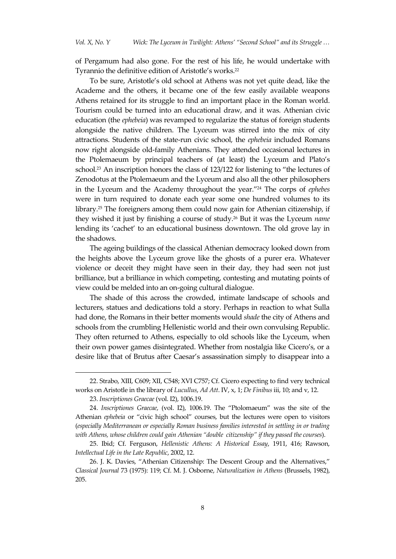of Pergamum had also gone. For the rest of his life, he would undertake with Tyrannio the definitive edition of Aristotle's works.<sup>22</sup>

To be sure, Aristotle's old school at Athens was not yet quite dead, like the Academe and the others, it became one of the few easily available weapons Athens retained for its struggle to find an important place in the Roman world. Tourism could be turned into an educational draw, and it was. Athenian civic education (the *ephebeia*) was revamped to regularize the status of foreign students alongside the native children. The Lyceum was stirred into the mix of city attractions. Students of the state-run civic school, the *ephebeia* included Romans now right alongside old-family Athenians. They attended occasional lectures in the Ptolemaeum by principal teachers of (at least) the Lyceum and Plato's school. <sup>23</sup> An inscription honors the class of 123/122 for listening to 'the lectures of Zenodotus at the Ptolemaeum and the Lyceum and also all the other philosophers in the Lyceum and the Academy throughout the year.'<sup>24</sup> The corps of *ephebes* were in turn required to donate each year some one hundred volumes to its library.<sup>25</sup> The foreigners among them could now gain for Athenian citizenship, if they wished it just by finishing a course of study. <sup>26</sup> But it was the Lyceum *name* lending its 'cachet' to an educational business downtown. The old grove lay in the shadows.

The ageing buildings of the classical Athenian democracy looked down from the heights above the Lyceum grove like the ghosts of a purer era. Whatever violence or deceit they might have seen in their day, they had seen not just brilliance, but a brilliance in which competing, contesting and mutating points of view could be melded into an on-going cultural dialogue.

The shade of this across the crowded, intimate landscape of schools and lecturers, statues and dedications told a story. Perhaps in reaction to what Sulla had done, the Romans in their better moments would *shade* the city of Athens and schools from the crumbling Hellenistic world and their own convulsing Republic. They often returned to Athens, especially to old schools like the Lyceum, when their own power games disintegrated. Whether from nostalgia like Cicero's, or a desire like that of Brutus after Caesar's assassination simply to disappear into a

<sup>22.</sup> Strabo, XIII, C609; XII, C548; XVI C757; Cf. Cicero expecting to find very technical works on Aristotle in the library of *Lucullus*, *Ad Att*. IV, x, 1; *De Finibus* iii, 10; and v, 12.

<sup>23.</sup> *Inscriptiones Graecae* (vol. I2), 1006.19.

<sup>24.</sup> *Inscriptiones Graecae*, (vol. I2), 1006.19. The 'Ptolomaeum' was the site of the Athenian *ephebeia* or 'civic high school' courses, but the lectures were open to visitors (*especially Mediterranean or especially Roman business families interested in settling in or trading with Athens, whose children could gain Athenian 'double citizenship' if they passed the courses*).

<sup>25.</sup> Ibid; Cf. Ferguson, *Hellenistic Athens: A Historical Essay*, 1911, 416; Rawson, *Intellectual Life in the Late Republic*, 2002, 12.

<sup>26.</sup> J. K. Davies, 'Athenian Citizenship: The Descent Group and the Alternatives,' *Classical Journal* 73 (1975): 119; Cf. M. J. Osborne, *Naturalization in Athens* (Brussels, 1982), 205.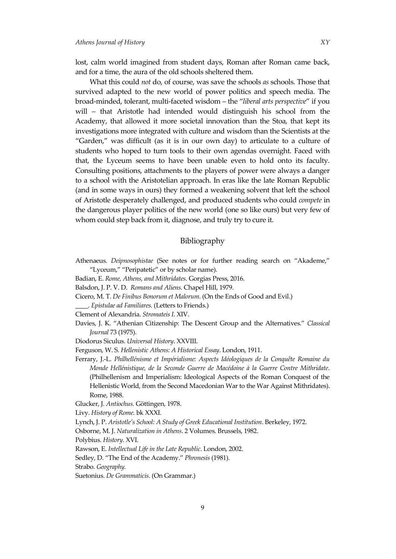lost, calm world imagined from student days, Roman after Roman came back, and for a time, the aura of the old schools sheltered them.

What this could *not* do, of course, was save the schools *as* schools. Those that survived adapted to the new world of power politics and speech media. The broad-minded, tolerant, multi-faceted wisdom – the '*liberal arts perspective*' if you will – that Aristotle had intended would distinguish his school from the Academy, that allowed it more societal innovation than the Stoa, that kept its investigations more integrated with culture and wisdom than the Scientists at the 'Garden,' was difficult (as it is in our own day) to articulate to a culture of students who hoped to turn tools to their own agendas overnight. Faced with that, the Lyceum seems to have been unable even to hold onto its faculty. Consulting positions, attachments to the players of power were always a danger to a school with the Aristotelian approach. In eras like the late Roman Republic (and in some ways in ours) they formed a weakening solvent that left the school of Aristotle desperately challenged, and produced students who could *compete* in the dangerous player politics of the new world (one so like ours) but very few of whom could step back from it, diagnose, and truly try to cure it.

### Bibliography

- Athenaeus. *Deipnosophistae* (See notes or for further reading search on 'Akademe,' 'Lyceum,' 'Peripatetic' or by scholar name).
- Badian, E. *Rome, Athens, and Mithridates.* Gorgias Press, 2016.
- Balsdon, J. P. V. D. *Romans and Aliens*. Chapel Hill, 1979.
- Cicero, M. T. *De Finibus Bonorum et Malorum.* (On the Ends of Good and Evil.)

*\_\_\_\_. Epistulae ad Familiares.* (Letters to Friends.)

- Clement of Alexandria. *Stromateis I*. XIV.
- Davies, J. K. 'Athenian Citizenship: The Descent Group and the Alternatives.' *Classical Journal* 73 (1975).
- Diodorus Siculus. *Universal History*. XXVIII.
- Ferguson, W. S. *Hellenistic Athens: A Historical Essay*. London, 1911.

Ferrary, J.-L. *Philhellénisme et Impérialisme: Aspects Idéologiques de la Conquête Romaine du Monde Hellénistique, de la Seconde Guerre de Macédoine à la Guerre Contre Mithridate*. (Philhellenism and Imperialism: Ideological Aspects of the Roman Conquest of the Hellenistic World, from the Second Macedonian War to the War Against Mithridates). Rome, 1988.

- Glucker, J. *Antiochus.* Göttingen, 1978.
- Livy. *History of Rome*. bk XXXI.
- Lynch, J. P. *Aristotle's School: A Study of Greek Educational Institution*. Berkeley, 1972.

Osborne, M. J. *Naturalization in Athens*. 2 Volumes. Brussels, 1982.

- Polybius. *History*. XVI.
- Rawson, E. *Intellectual Life in the Late Republic*. London, 2002.
- Sedley, D. 'The End of the Academy.' *Phronesis* (1981).

Strabo. *Geography.*

Suetonius. *De Grammaticis*. (On Grammar.)